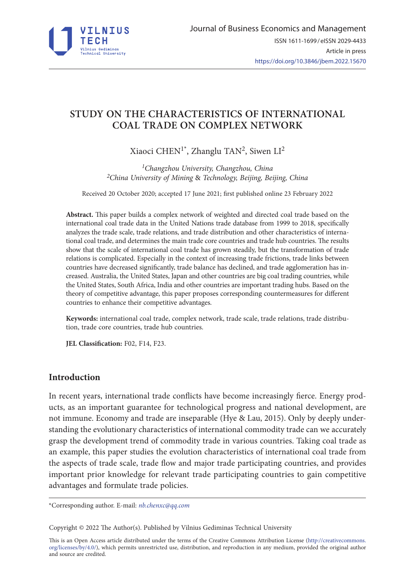

# **STUDY ON THE CHARACTERISTICS OF INTERNATIONAL COAL TRADE ON COMPLEX NETWORK**

Xiaoci CHEN<sup>1\*</sup>, Zhanglu TAN<sup>2</sup>, Siwen LI<sup>2</sup>

*1Changzhou University, Changzhou, China 2China University of Mining* & *Technology, Beijing, Beijing, China*

Received 20 October 2020; accepted 17 June 2021; first published online 23 February 2022

**Abstract.** This paper builds a complex network of weighted and directed coal trade based on the international coal trade data in the United Nations trade database from 1999 to 2018, specifically analyzes the trade scale, trade relations, and trade distribution and other characteristics of international coal trade, and determines the main trade core countries and trade hub countries. The results show that the scale of international coal trade has grown steadily, but the transformation of trade relations is complicated. Especially in the context of increasing trade frictions, trade links between countries have decreased significantly, trade balance has declined, and trade agglomeration has increased. Australia, the United States, Japan and other countries are big coal trading countries, while the United States, South Africa, India and other countries are important trading hubs. Based on the theory of competitive advantage, this paper proposes corresponding countermeasures for different countries to enhance their competitive advantages.

**Keywords:** international coal trade, complex network, trade scale, trade relations, trade distribution, trade core countries, trade hub countries.

**JEL Classification:** F02, F14, F23.

# **Introduction**

In recent years, international trade conflicts have become increasingly fierce. Energy products, as an important guarantee for technological progress and national development, are not immune. Economy and trade are inseparable (Hye & Lau, 2015). Only by deeply understanding the evolutionary characteristics of international commodity trade can we accurately grasp the development trend of commodity trade in various countries. Taking coal trade as an example, this paper studies the evolution characteristics of international coal trade from the aspects of trade scale, trade flow and major trade participating countries, and provides important prior knowledge for relevant trade participating countries to gain competitive advantages and formulate trade policies.

\*Corresponding author. E-mail: *[nb.chenxc@qq.com](mailto:nb.chenxc@qq.com)*

Copyright © 2022 The Author(s). Published by Vilnius Gediminas Technical University

This is an Open Access article distributed under the terms of the Creative Commons Attribution License ([http://creativecommons.](http://creativecommons.org/licenses/by/4.0/) [org/licenses/by/4.0/\)](http://creativecommons.org/licenses/by/4.0/), which permits unrestricted use, distribution, and reproduction in any medium, provided the original author and source are credited.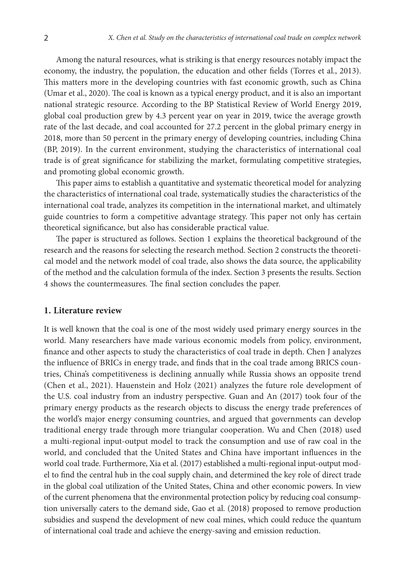Among the natural resources, what is striking is that energy resources notably impact the economy, the industry, the population, the education and other fields (Torres et al., 2013). This matters more in the developing countries with fast economic growth, such as China (Umar et al., 2020). The coal is known as a typical energy product, and it is also an important national strategic resource. According to the BP Statistical Review of World Energy 2019, global coal production grew by 4.3 percent year on year in 2019, twice the average growth rate of the last decade, and coal accounted for 27.2 percent in the global primary energy in 2018, more than 50 percent in the primary energy of developing countries, including China (BP, 2019). In the current environment, studying the characteristics of international coal trade is of great significance for stabilizing the market, formulating competitive strategies, and promoting global economic growth.

This paper aims to establish a quantitative and systematic theoretical model for analyzing the characteristics of international coal trade, systematically studies the characteristics of the international coal trade, analyzes its competition in the international market, and ultimately guide countries to form a competitive advantage strategy. This paper not only has certain theoretical significance, but also has considerable practical value.

The paper is structured as follows. Section 1 explains the theoretical background of the research and the reasons for selecting the research method. Section 2 constructs the theoretical model and the network model of coal trade, also shows the data source, the applicability of the method and the calculation formula of the index. Section 3 presents the results. Section 4 shows the countermeasures. The final section concludes the paper.

### **1. Literature review**

It is well known that the coal is one of the most widely used primary energy sources in the world. Many researchers have made various economic models from policy, environment, finance and other aspects to study the characteristics of coal trade in depth. Chen J analyzes the influence of BRICs in energy trade, and finds that in the coal trade among BRICS countries, China's competitiveness is declining annually while Russia shows an opposite trend (Chen et al., 2021). Hauenstein and Holz (2021) analyzes the future role development of the U.S. coal industry from an industry perspective. Guan and An (2017) took four of the primary energy products as the research objects to discuss the energy trade preferences of the world's major energy consuming countries, and argued that governments can develop traditional energy trade through more triangular cooperation. Wu and Chen (2018) used a multi-regional input-output model to track the consumption and use of raw coal in the world, and concluded that the United States and China have important influences in the world coal trade. Furthermore, Xia et al. (2017) established a multi-regional input-output model to find the central hub in the coal supply chain, and determined the key role of direct trade in the global coal utilization of the United States, China and other economic powers. In view of the current phenomena that the environmental protection policy by reducing coal consumption universally caters to the demand side, Gao et al. (2018) proposed to remove production subsidies and suspend the development of new coal mines, which could reduce the quantum of international coal trade and achieve the energy-saving and emission reduction.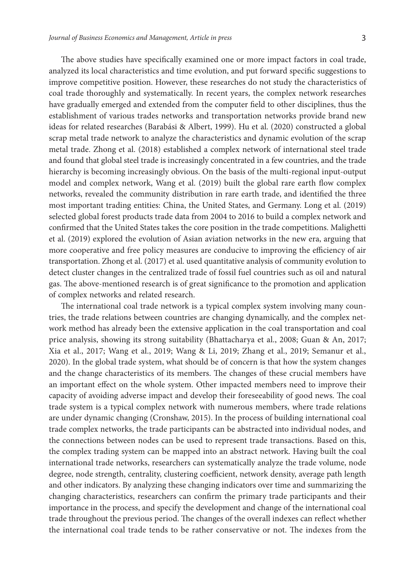The above studies have specifically examined one or more impact factors in coal trade, analyzed its local characteristics and time evolution, and put forward specific suggestions to improve competitive position. However, these researches do not study the characteristics of coal trade thoroughly and systematically. In recent years, the complex network researches have gradually emerged and extended from the computer field to other disciplines, thus the establishment of various trades networks and transportation networks provide brand new ideas for related researches (Barabási & Albert, 1999). Hu et al. (2020) constructed a global scrap metal trade network to analyze the characteristics and dynamic evolution of the scrap metal trade. Zhong et al. (2018) established a complex network of international steel trade and found that global steel trade is increasingly concentrated in a few countries, and the trade hierarchy is becoming increasingly obvious. On the basis of the multi-regional input-output model and complex network, Wang et al. (2019) built the global rare earth flow complex networks, revealed the community distribution in rare earth trade, and identified the three most important trading entities: China, the United States, and Germany. Long et al. (2019) selected global forest products trade data from 2004 to 2016 to build a complex network and confirmed that the United States takes the core position in the trade competitions. Malighetti et al. (2019) explored the evolution of Asian aviation networks in the new era, arguing that more cooperative and free policy measures are conducive to improving the efficiency of air transportation. Zhong et al. (2017) et al. used quantitative analysis of community evolution to detect cluster changes in the centralized trade of fossil fuel countries such as oil and natural gas. The above-mentioned research is of great significance to the promotion and application of complex networks and related research.

The international coal trade network is a typical complex system involving many countries, the trade relations between countries are changing dynamically, and the complex network method has already been the extensive application in the coal transportation and coal price analysis, showing its strong suitability (Bhattacharya et al., 2008; Guan & An, 2017; Xia et al., 2017; Wang et al., 2019; Wang & Li, 2019; Zhang et al., 2019; Semanur et al., 2020). In the global trade system, what should be of concern is that how the system changes and the change characteristics of its members. The changes of these crucial members have an important effect on the whole system. Other impacted members need to improve their capacity of avoiding adverse impact and develop their foreseeability of good news. The coal trade system is a typical complex network with numerous members, where trade relations are under dynamic changing (Cronshaw, 2015). In the process of building international coal trade complex networks, the trade participants can be abstracted into individual nodes, and the connections between nodes can be used to represent trade transactions. Based on this, the complex trading system can be mapped into an abstract network. Having built the coal international trade networks, researchers can systematically analyze the trade volume, node degree, node strength, centrality, clustering coefficient, network density, average path length and other indicators. By analyzing these changing indicators over time and summarizing the changing characteristics, researchers can confirm the primary trade participants and their importance in the process, and specify the development and change of the international coal trade throughout the previous period. The changes of the overall indexes can reflect whether the international coal trade tends to be rather conservative or not. The indexes from the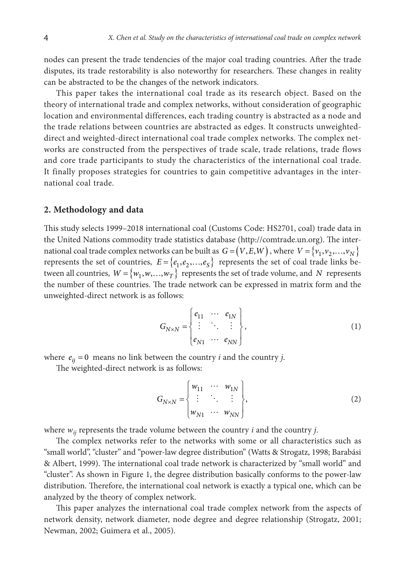nodes can present the trade tendencies of the major coal trading countries. After the trade disputes, its trade restorability is also noteworthy for researchers. These changes in reality can be abstracted to be the changes of the network indicators.

This paper takes the international coal trade as its research object. Based on the theory of international trade and complex networks, without consideration of geographic location and environmental differences, each trading country is abstracted as a node and the trade relations between countries are abstracted as edges. It constructs unweighteddirect and weighted-direct international coal trade complex networks. The complex networks are constructed from the perspectives of trade scale, trade relations, trade flows and core trade participants to study the characteristics of the international coal trade. It finally proposes strategies for countries to gain competitive advantages in the international coal trade.

#### **2. Methodology and data**

This study selects 1999–2018 international coal (Customs Code: HS2701, coal) trade data in the United Nations commodity trade statistics database (http://comtrade.un.org). The international coal trade complex networks can be built as  $G = (V, E, W)$ , where  $V = \{v_1, v_2, ..., v_N\}$ represents the set of countries,  $E = \{e_1, e_2,..., e_S\}$  represents the set of coal trade links between all countries,  $W = \{w_1, w, ..., w_T\}$  represents the set of trade volume, and *N* represents the number of these countries. The trade network can be expressed in matrix form and the unweighted-direct network is as follows:

$$
G_{N\times N} = \begin{Bmatrix} e_{11} & \cdots & e_{1N} \\ \vdots & \ddots & \vdots \\ e_{N1} & \cdots & e_{NN} \end{Bmatrix},
$$
 (1)

where  $e_{ij} = 0$  means no link between the country *i* and the country *j*.

The weighted-direct network is as follows:

$$
G_{N\times N} = \begin{cases} w_{11} & \cdots & w_{1N} \\ \vdots & \ddots & \vdots \\ w_{N1} & \cdots & w_{NN} \end{cases},
$$
 (2)

where *wij* represents the trade volume between the country *i* and the country *j*.

The complex networks refer to the networks with some or all characteristics such as "small world", "cluster" and "power-law degree distribution" (Watts & Strogatz, 1998; Barabási & Albert, 1999). The international coal trade network is characterized by "small world" and "cluster". As shown in Figure 1, the degree distribution basically conforms to the power-law distribution. Therefore, the international coal network is exactly a typical one, which can be analyzed by the theory of complex network.

This paper analyzes the international coal trade complex network from the aspects of network density, network diameter, node degree and degree relationship (Strogatz, 2001; Newman, 2002; Guimera et al., 2005).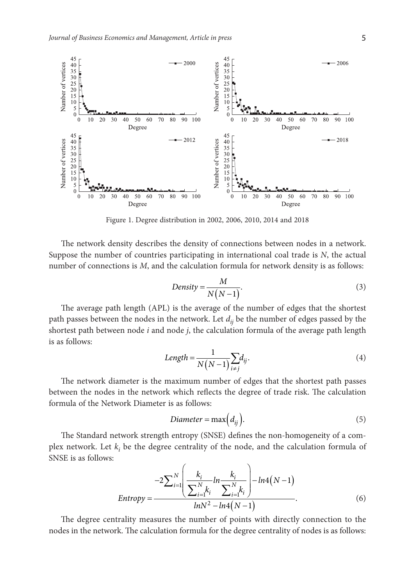

Figure 1. Degree distribution in 2002, 2006, 2010, 2014 and 2018

The network density describes the density of connections between nodes in a network. Suppose the number of countries participating in international coal trade is *N*, the actual number of connections is *M*, and the calculation formula for network density is as follows:

$$
Density = \frac{M}{N(N-1)}.\tag{3}
$$

The average path length (APL) is the average of the number of edges that the shortest path passes between the nodes in the network. Let *dij* be the number of edges passed by the shortest path between node *i* and node *j*, the calculation formula of the average path length is as follows:

$$
Length = \frac{1}{N(N-1)} \sum_{i \neq j} d_{ij}.
$$
\n(4)

The network diameter is the maximum number of edges that the shortest path passes between the nodes in the network which reflects the degree of trade risk. The calculation formula of the Network Diameter is as follows:

$$
Diameter = \max\left(d_{ij}\right). \tag{5}
$$

The Standard network strength entropy (SNSE) defines the non-homogeneity of a complex network. Let  $k_i$  be the degree centrality of the node, and the calculation formula of SNSE is as follows:

$$
Entropy = \frac{-2\sum_{i=1}^{N} \left( \frac{k_i}{\sum_{i=1}^{N} k_i} ln \frac{k_i}{\sum_{i=1}^{N} k_i} \right) - ln4(N-1)}{lnN^2 - ln4(N-1)}.
$$
\n(6)

The degree centrality measures the number of points with directly connection to the nodes in the network. The calculation formula for the degree centrality of nodes is as follows: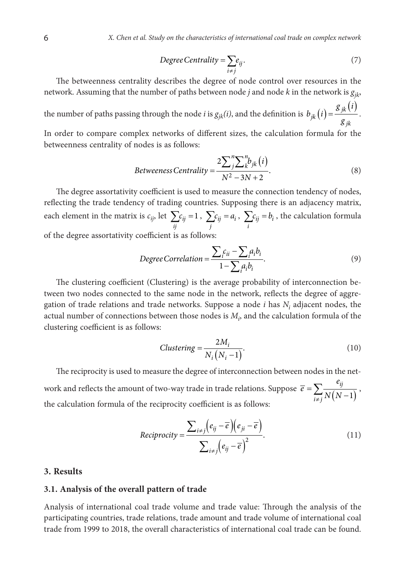$$
Degree Centrality = \sum_{i \neq j} e_{ij}.
$$
 (7)

The betweenness centrality describes the degree of node control over resources in the network. Assuming that the number of paths between node *j* and node *k* in the network is *gjk*,

the number of paths passing through the node *i* is  $g_{jk}(i)$ , and the definition is  $b_{jk}(i) = \frac{g_{jk}(i)}{g_{jk}}$  $b_{jk}(i) = \frac{g_{jk}(i)}{g_{jk}}$ .

In order to compare complex networks of different sizes, the calculation formula for the betweenness centrality of nodes is as follows:

$$
Betweeness Centrality = \frac{2\sum_{j}^{n} \sum_{k}^{n} b_{jk}(i)}{N^2 - 3N + 2}.
$$
\n(8)

The degree assortativity coefficient is used to measure the connection tendency of nodes, reflecting the trade tendency of trading countries. Supposing there is an adjacency matrix, each element in the matrix is  $c_{ij}$ , let  $\sum c_{ij} = 1$ *ij*  $\sum c_{ij} = 1$ ,  $\sum c_{ij} = a_i$ *j*  $\sum c_{ij} = a_i$ ,  $\sum c_{ij} = b_i$ *i*  $\sum c_{ij} = b_i$  , the calculation formula of the degree assortativity coefficient is as follows:

$$
Degree Correlation = \frac{\sum_{i} c_{ii} - \sum_{i} a_{i} b_{i}}{1 - \sum_{i} a_{i} b_{i}}.
$$
\n(9)

The clustering coefficient (Clustering) is the average probability of interconnection between two nodes connected to the same node in the network, reflects the degree of aggregation of trade relations and trade networks. Suppose a node  $i$  has  $N_i$  adjacent nodes, the actual number of connections between those nodes is  $M_i$ , and the calculation formula of the clustering coefficient is as follows:

$$
Clustering = \frac{2M_i}{N_i (N_i - 1)}.
$$
\n(10)

The reciprocity is used to measure the degree of interconnection between nodes in the network and reflects the amount of two-way trade in trade relations. Suppose  $\bar{e} = \sum_{i \neq j} \frac{\epsilon_{ij}}{N(N-1)}$ *i j e*  $\overline{e} = \sum_{i \neq j} \frac{e_{ij}}{N(N-1)},$ the calculation formula of the reciprocity coefficient is as follows:

$$
Reciprocity = \frac{\sum_{i \neq j} (e_{ij} - \overline{e})(e_{ji} - \overline{e})}{\sum_{i \neq j} (e_{ij} - \overline{e})^2}.
$$
\n(11)

# **3. Results**

### **3.1. Analysis of the overall pattern of trade**

Analysis of international coal trade volume and trade value: Through the analysis of the participating countries, trade relations, trade amount and trade volume of international coal trade from 1999 to 2018, the overall characteristics of international coal trade can be found.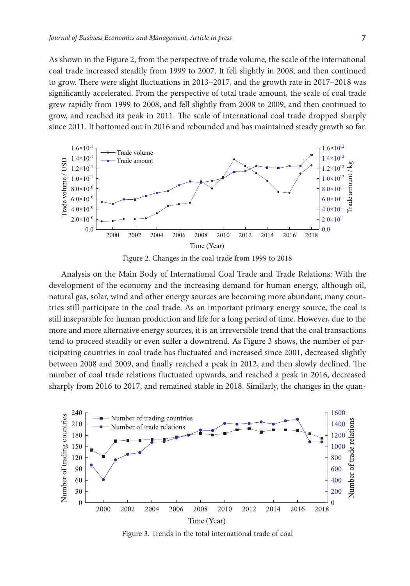As shown in the Figure 2, from the perspective of trade volume, the scale of the international coal trade increased steadily from 1999 to 2007. It fell slightly in 2008, and then continued to grow. There were slight fluctuations in 2013–2017, and the growth rate in 2017–2018 was significantly accelerated. From the perspective of total trade amount, the scale of coal trade grew rapidly from 1999 to 2008, and fell slightly from 2008 to 2009, and then continued to grow, and reached its peak in 2011. The scale of international coal trade dropped sharply since 2011. It bottomed out in 2016 and rebounded and has maintained steady growth so far.



Figure 2. Changes in the coal trade from 1999 to 2018

Analysis on the Main Body of International Coal Trade and Trade Relations: With the development of the economy and the increasing demand for human energy, although oil, natural gas, solar, wind and other energy sources are becoming more abundant, many countries still participate in the coal trade. As an important primary energy source, the coal is still inseparable for human production and life for a long period of time. However, due to the more and more alternative energy sources, it is an irreversible trend that the coal transactions tend to proceed steadily or even suffer a downtrend. As Figure 3 shows, the number of participating countries in coal trade has fluctuated and increased since 2001, decreased slightly between 2008 and 2009, and finally reached a peak in 2012, and then slowly declined. The number of coal trade relations fluctuated upwards, and reached a peak in 2016, decreased sharply from 2016 to 2017, and remained stable in 2018. Similarly, the changes in the quan-



Figure 3. Trends in the total international trade of coal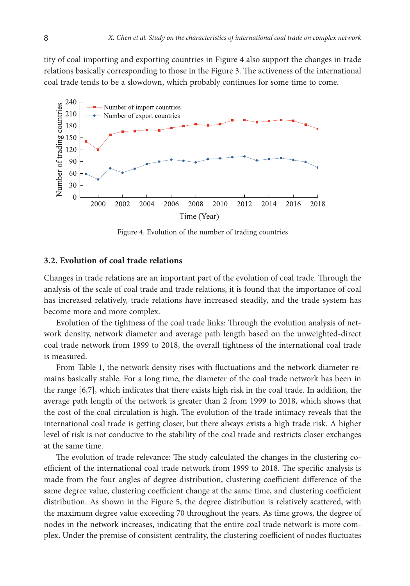tity of coal importing and exporting countries in Figure 4 also support the changes in trade relations basically corresponding to those in the Figure 3. The activeness of the international coal trade tends to be a slowdown, which probably continues for some time to come.



Figure 4. Evolution of the number of trading countries

#### **3.2. Evolution of coal trade relations**

Changes in trade relations are an important part of the evolution of coal trade. Through the analysis of the scale of coal trade and trade relations, it is found that the importance of coal has increased relatively, trade relations have increased steadily, and the trade system has become more and more complex.

Evolution of the tightness of the coal trade links: Through the evolution analysis of network density, network diameter and average path length based on the unweighted-direct coal trade network from 1999 to 2018, the overall tightness of the international coal trade is measured.

From Table 1, the network density rises with fluctuations and the network diameter remains basically stable. For a long time, the diameter of the coal trade network has been in the range [6,7], which indicates that there exists high risk in the coal trade. In addition, the average path length of the network is greater than 2 from 1999 to 2018, which shows that the cost of the coal circulation is high. The evolution of the trade intimacy reveals that the international coal trade is getting closer, but there always exists a high trade risk. A higher level of risk is not conducive to the stability of the coal trade and restricts closer exchanges at the same time.

The evolution of trade relevance: The study calculated the changes in the clustering coefficient of the international coal trade network from 1999 to 2018. The specific analysis is made from the four angles of degree distribution, clustering coefficient difference of the same degree value, clustering coefficient change at the same time, and clustering coefficient distribution. As shown in the Figure 5, the degree distribution is relatively scattered, with the maximum degree value exceeding 70 throughout the years. As time grows, the degree of nodes in the network increases, indicating that the entire coal trade network is more complex. Under the premise of consistent centrality, the clustering coefficient of nodes fluctuates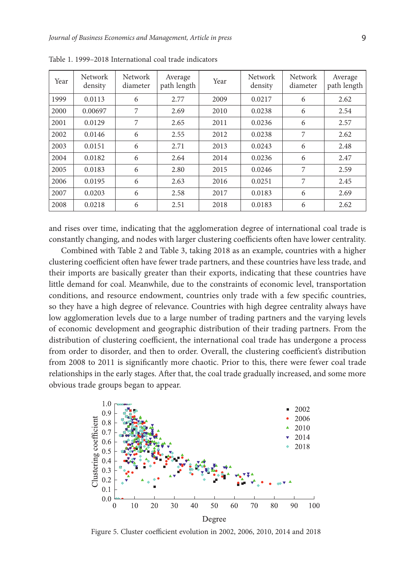| Year | Network<br>density | Network<br>diameter | Average<br>path length | Year | <b>Network</b><br>density | <b>Network</b><br>diameter | Average<br>path length |
|------|--------------------|---------------------|------------------------|------|---------------------------|----------------------------|------------------------|
| 1999 | 0.0113             | 6                   | 2.77                   | 2009 | 0.0217                    | 6                          | 2.62                   |
| 2000 | 0.00697            | 7                   | 2.69                   | 2010 | 0.0238                    | 6                          | 2.54                   |
| 2001 | 0.0129             | 7                   | 2.65                   | 2011 | 0.0236                    | 6                          | 2.57                   |
| 2002 | 0.0146             | 6                   | 2.55                   | 2012 | 0.0238                    | 7                          | 2.62                   |
| 2003 | 0.0151             | 6                   | 2.71                   | 2013 | 0.0243                    | 6                          | 2.48                   |
| 2004 | 0.0182             | 6                   | 2.64                   | 2014 | 0.0236                    | 6                          | 2.47                   |
| 2005 | 0.0183             | 6                   | 2.80                   | 2015 | 0.0246                    | 7                          | 2.59                   |
| 2006 | 0.0195             | 6                   | 2.63                   | 2016 | 0.0251                    | 7                          | 2.45                   |
| 2007 | 0.0203             | 6                   | 2.58                   | 2017 | 0.0183                    | 6                          | 2.69                   |
| 2008 | 0.0218             | 6                   | 2.51                   | 2018 | 0.0183                    | 6                          | 2.62                   |

Table 1. 1999–2018 International coal trade indicators

and rises over time, indicating that the agglomeration degree of international coal trade is constantly changing, and nodes with larger clustering coefficients often have lower centrality.

Combined with Table 2 and Table 3, taking 2018 as an example, countries with a higher clustering coefficient often have fewer trade partners, and these countries have less trade, and their imports are basically greater than their exports, indicating that these countries have little demand for coal. Meanwhile, due to the constraints of economic level, transportation conditions, and resource endowment, countries only trade with a few specific countries, so they have a high degree of relevance. Countries with high degree centrality always have low agglomeration levels due to a large number of trading partners and the varying levels of economic development and geographic distribution of their trading partners. From the distribution of clustering coefficient, the international coal trade has undergone a process from order to disorder, and then to order. Overall, the clustering coefficient's distribution from 2008 to 2011 is significantly more chaotic. Prior to this, there were fewer coal trade relationships in the early stages. After that, the coal trade gradually increased, and some more obvious trade groups began to appear.



Figure 5. Cluster coefficient evolution in 2002, 2006, 2010, 2014 and 2018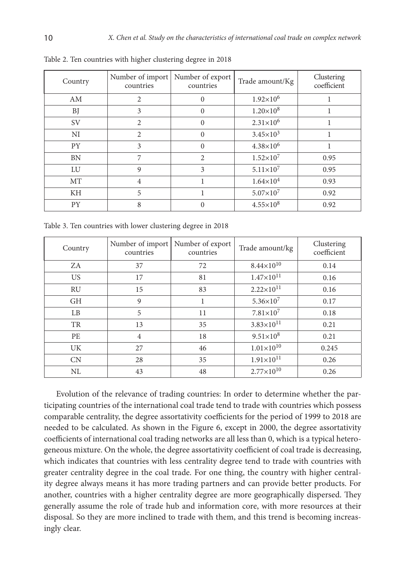| Country   | Number of import<br>countries | Number of export<br>countries | Trade amount/Kg      | Clustering<br>coefficient |
|-----------|-------------------------------|-------------------------------|----------------------|---------------------------|
| AM        | $\overline{2}$                | $\Omega$                      | $1.92\times10^{6}$   |                           |
| BJ        | 3                             | $\Omega$                      | $1.20\times10^{8}$   |                           |
| <b>SV</b> | $\overline{2}$                | $\Omega$                      | $2.31 \times 10^{6}$ |                           |
| NI        | $\overline{2}$                | $\Omega$                      | $3.45 \times 10^{3}$ |                           |
| <b>PY</b> | 3                             | $\Omega$                      | $4.38\times10^{6}$   |                           |
| <b>BN</b> | 7                             | $\overline{\mathcal{L}}$      | $1.52\times10^{7}$   | 0.95                      |
| LU        | 9                             | 3                             | $5.11\times10^{7}$   | 0.95                      |
| МT        | $\overline{4}$                |                               | $1.64\times10^{4}$   | 0.93                      |
| KH        | 5                             |                               | $5.07\times10^{7}$   | 0.92                      |
| PY        | 8                             |                               | $4.55 \times 10^8$   | 0.92                      |

Table 2. Ten countries with higher clustering degree in 2018

Table 3. Ten countries with lower clustering degree in 2018

| Country        | Number of export<br>Number of import<br>countries<br>countries |    | Trade amount/kg       | Clustering<br>coefficient |  |
|----------------|----------------------------------------------------------------|----|-----------------------|---------------------------|--|
| ZA.            | 37                                                             | 72 | $8.44\times10^{10}$   | 0.14                      |  |
| US.            | 17                                                             | 81 | $1.47\times10^{11}$   | 0.16                      |  |
| <b>RU</b>      | 15                                                             | 83 | $2.22 \times 10^{11}$ | 0.16                      |  |
| <b>GH</b>      | 9                                                              | 1  | $5.36 \times 10^7$    | 0.17                      |  |
| L <sub>B</sub> | 5                                                              | 11 | $7.81\times10^{7}$    | 0.18                      |  |
| TR             | 13                                                             | 35 | $3.83\times10^{11}$   | 0.21                      |  |
| PE             | $\overline{4}$                                                 | 18 | $9.51 \times 10^8$    | 0.21                      |  |
| <b>UK</b>      | 27                                                             | 46 | $1.01\times10^{10}$   | 0.245                     |  |
| CN             | 28                                                             | 35 | $1.91\times10^{11}$   | 0.26                      |  |
| <b>NL</b>      | 43                                                             | 48 | $2.77 \times 10^{10}$ | 0.26                      |  |

Evolution of the relevance of trading countries: In order to determine whether the participating countries of the international coal trade tend to trade with countries which possess comparable centrality, the degree assortativity coefficients for the period of 1999 to 2018 are needed to be calculated. As shown in the Figure 6, except in 2000, the degree assortativity coefficients of international coal trading networks are all less than 0, which is a typical heterogeneous mixture. On the whole, the degree assortativity coefficient of coal trade is decreasing, which indicates that countries with less centrality degree tend to trade with countries with greater centrality degree in the coal trade. For one thing, the country with higher centrality degree always means it has more trading partners and can provide better products. For another, countries with a higher centrality degree are more geographically dispersed. They generally assume the role of trade hub and information core, with more resources at their disposal. So they are more inclined to trade with them, and this trend is becoming increasingly clear.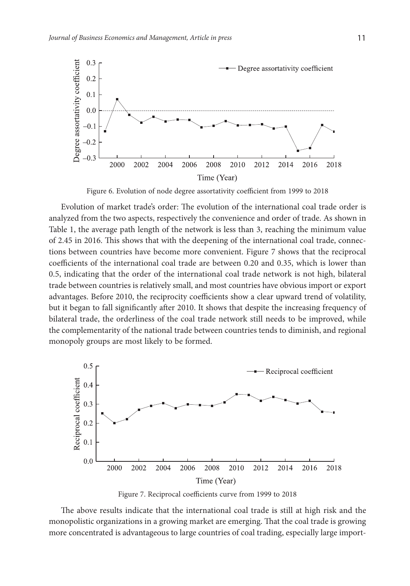

Figure 6. Evolution of node degree assortativity coefficient from 1999 to 2018

Evolution of market trade's order: The evolution of the international coal trade order is analyzed from the two aspects, respectively the convenience and order of trade. As shown in Table 1, the average path length of the network is less than 3, reaching the minimum value of 2.45 in 2016. This shows that with the deepening of the international coal trade, connections between countries have become more convenient. Figure 7 shows that the reciprocal coefficients of the international coal trade are between 0.20 and 0.35, which is lower than 0.5, indicating that the order of the international coal trade network is not high, bilateral trade between countries is relatively small, and most countries have obvious import or export advantages. Before 2010, the reciprocity coefficients show a clear upward trend of volatility, but it began to fall significantly after 2010. It shows that despite the increasing frequency of bilateral trade, the orderliness of the coal trade network still needs to be improved, while the complementarity of the national trade between countries tends to diminish, and regional monopoly groups are most likely to be formed.



Figure 7. Reciprocal coefficients curve from 1999 to 2018

The above results indicate that the international coal trade is still at high risk and the monopolistic organizations in a growing market are emerging. That the coal trade is growing more concentrated is advantageous to large countries of coal trading, especially large import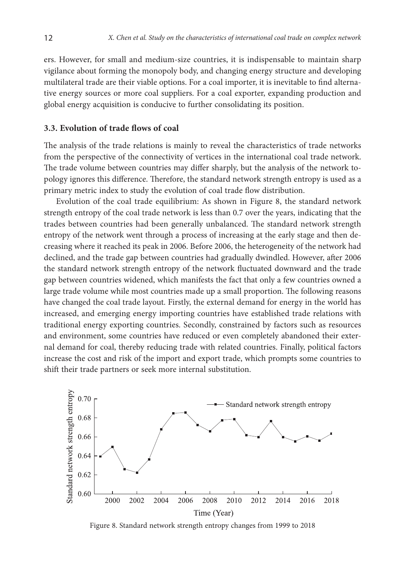ers. However, for small and medium-size countries, it is indispensable to maintain sharp vigilance about forming the monopoly body, and changing energy structure and developing multilateral trade are their viable options. For a coal importer, it is inevitable to find alternative energy sources or more coal suppliers. For a coal exporter, expanding production and global energy acquisition is conducive to further consolidating its position.

## **3.3. Evolution of trade flows of coal**

The analysis of the trade relations is mainly to reveal the characteristics of trade networks from the perspective of the connectivity of vertices in the international coal trade network. The trade volume between countries may differ sharply, but the analysis of the network topology ignores this difference. Therefore, the standard network strength entropy is used as a primary metric index to study the evolution of coal trade flow distribution.

Evolution of the coal trade equilibrium: As shown in Figure 8, the standard network strength entropy of the coal trade network is less than 0.7 over the years, indicating that the trades between countries had been generally unbalanced. The standard network strength entropy of the network went through a process of increasing at the early stage and then decreasing where it reached its peak in 2006. Before 2006, the heterogeneity of the network had declined, and the trade gap between countries had gradually dwindled. However, after 2006 the standard network strength entropy of the network fluctuated downward and the trade gap between countries widened, which manifests the fact that only a few countries owned a large trade volume while most countries made up a small proportion. The following reasons have changed the coal trade layout. Firstly, the external demand for energy in the world has increased, and emerging energy importing countries have established trade relations with traditional energy exporting countries. Secondly, constrained by factors such as resources and environment, some countries have reduced or even completely abandoned their external demand for coal, thereby reducing trade with related countries. Finally, political factors increase the cost and risk of the import and export trade, which prompts some countries to shift their trade partners or seek more internal substitution.



Figure 8. Standard network strength entropy changes from 1999 to 2018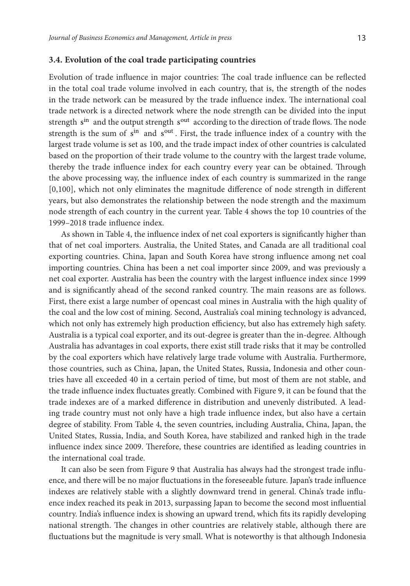#### **3.4. Evolution of the coal trade participating countries**

Evolution of trade influence in major countries: The coal trade influence can be reflected in the total coal trade volume involved in each country, that is, the strength of the nodes in the trade network can be measured by the trade influence index. The international coal trade network is a directed network where the node strength can be divided into the input strength s<sup>in</sup> and the output strength s<sup>out</sup> according to the direction of trade flows. The node strength is the sum of s<sup>in</sup> and s<sup>out</sup>. First, the trade influence index of a country with the largest trade volume is set as 100, and the trade impact index of other countries is calculated based on the proportion of their trade volume to the country with the largest trade volume, thereby the trade influence index for each country every year can be obtained. Through the above processing way, the influence index of each country is summarized in the range [0,100], which not only eliminates the magnitude difference of node strength in different years, but also demonstrates the relationship between the node strength and the maximum node strength of each country in the current year. Table 4 shows the top 10 countries of the 1999–2018 trade influence index.

As shown in Table 4, the influence index of net coal exporters is significantly higher than that of net coal importers. Australia, the United States, and Canada are all traditional coal exporting countries. China, Japan and South Korea have strong influence among net coal importing countries. China has been a net coal importer since 2009, and was previously a net coal exporter. Australia has been the country with the largest influence index since 1999 and is significantly ahead of the second ranked country. The main reasons are as follows. First, there exist a large number of opencast coal mines in Australia with the high quality of the coal and the low cost of mining. Second, Australia's coal mining technology is advanced, which not only has extremely high production efficiency, but also has extremely high safety. Australia is a typical coal exporter, and its out-degree is greater than the in-degree. Although Australia has advantages in coal exports, there exist still trade risks that it may be controlled by the coal exporters which have relatively large trade volume with Australia. Furthermore, those countries, such as China, Japan, the United States, Russia, Indonesia and other countries have all exceeded 40 in a certain period of time, but most of them are not stable, and the trade influence index fluctuates greatly. Combined with Figure 9, it can be found that the trade indexes are of a marked difference in distribution and unevenly distributed. A leading trade country must not only have a high trade influence index, but also have a certain degree of stability. From Table 4, the seven countries, including Australia, China, Japan, the United States, Russia, India, and South Korea, have stabilized and ranked high in the trade influence index since 2009. Therefore, these countries are identified as leading countries in the international coal trade.

It can also be seen from Figure 9 that Australia has always had the strongest trade influence, and there will be no major fluctuations in the foreseeable future. Japan's trade influence indexes are relatively stable with a slightly downward trend in general. China's trade influence index reached its peak in 2013, surpassing Japan to become the second most influential country. India's influence index is showing an upward trend, which fits its rapidly developing national strength. The changes in other countries are relatively stable, although there are fluctuations but the magnitude is very small. What is noteworthy is that although Indonesia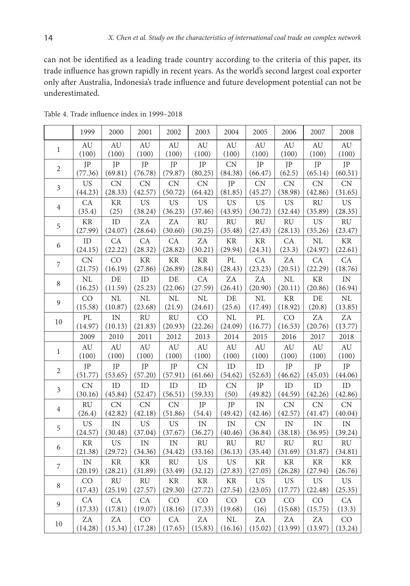can not be identified as a leading trade country according to the criteria of this paper, its trade influence has grown rapidly in recent years. As the world's second largest coal exporter only after Australia, Indonesia's trade influence and future development potential can not be underestimated.

|                | 1999          | 2000          | 2001          | 2002          | 2003          | 2004          | 2005          | 2006          | 2007          | 2008          |
|----------------|---------------|---------------|---------------|---------------|---------------|---------------|---------------|---------------|---------------|---------------|
| $\mathbf{1}$   | AU            | AU            | AU            | AU            | AU            | AU            | AU            | AU            | AU            | AU            |
|                | (100)         | (100)         | (100)         | (100)         | (100)         | (100)         | (100)         | (100)         | (100)         | (100)         |
| $\overline{2}$ | JP            | JP            | JP            | JP            | JP            | CN            | JP            | JP            | JP            | JP            |
|                | (77.36)       | (69.81)       | (76.78)       | (79.87)       | (80.25)       | (84.38)       | (66.47)       | (62.5)        | (65.14)       | (60.51)       |
| 3              | <b>US</b>     | <b>CN</b>     | <b>CN</b>     | <b>CN</b>     | CN            | JP            | <b>CN</b>     | <b>CN</b>     | CN            | CN            |
|                | (44.23)       | (28.33)       | (42.57)       | (50.72)       | (64.42)       | (81.85)       | (45.27)       | (38.98)       | (42.86)       | (31.65)       |
| $\overline{4}$ | CA            | $\rm KR$      | <b>US</b>     | <b>US</b>     | <b>US</b>     | <b>US</b>     | <b>US</b>     | <b>US</b>     | RU            | <b>US</b>     |
|                | (35.4)        | (25)          | (38.24)       | (36.23)       | (37.46)       | (43.95)       | (30.72)       | (32.44)       | (35.89)       | (28.35)       |
| 5              | $\rm KR$      | ID            | ZΑ            | ZA            | <b>RU</b>     | <b>RU</b>     | <b>RU</b>     | <b>RU</b>     | <b>US</b>     | RU            |
|                | (27.99)       | (24.07)       | (28.64)       | (30.60)       | (30.25)       | (35.48)       | (27.43)       | (28.13)       | (35.26)       | (23.47)       |
| 6              | $\rm ID$      | CA            | CA            | CA            | ZA            | $\rm KR$      | <b>KR</b>     | CA            | NL            | $\rm KR$      |
|                | (24.15)       | (22.22)       | (28.32)       | (28.82)       | (30.21)       | (29.94)       | (24.31)       | (23.3)        | (24.97)       | (22.61)       |
| 7              | CN            | CO            | <b>KR</b>     | $\rm KR$      | KR            | PL            | CA            | ZA            | CA            | CA            |
|                | (21.75)       | (16.19)       | (27.86)       | (26.89)       | (28.84)       | (28.43)       | (23.23)       | (20.51)       | (22.29)       | (18.76)       |
| $\,8\,$        | $\rm NL$      | DE            | ID            | DE            | CA            | ZA            | ZA            | $\rm NL$      | $\rm KR$      | $\rm IN$      |
|                | (16.25)       | (11.59)       | (25.23)       | (22.06)       | (27.59)       | (26.41)       | (20.90)       | (20.11)       | (20.86)       | (16.94)       |
| 9              | CO            | NL            | NL            | NL            | $\rm NL$      | DE            | NL            | <b>KR</b>     | $\rm DE$      | $\rm NL$      |
|                | (15.58)       | (10.87)       | (23.68)       | (21.9)        | (24.61)       | (25.6)        | (17.49)       | (18.92)       | (20.8)        | (13.85)       |
| $10\,$         | PL            | IN            | RU            | RU            | CO            | NL            | PL            | CO            | ZA            | ZA            |
|                | (14.97)       | (10.13)       | (21.83)       | (20.93)       | (22.26)       | (24.09)       | (16.77)       | (16.53)       | (20.76)       | (13.77)       |
|                | 2009          | 2010          | 2011          | 2012          | 2013          | 2014          | 2015          | 2016          | 2017          | 2018          |
| $\mathbf{1}$   | AU            | AU            | AU            | AU            | AU            | AU            | AU            | AU            | AU            | AU            |
|                | (100)         | (100)         | (100)         | (100)         | (100)         | (100)         | (100)         | (100)         | (100)         | (100)         |
| $\sqrt{2}$     | JP            | JP            | JP            | JP            | ${\rm CN}$    | $\rm ID$      | ID            | JP            | JP            | JP            |
|                | (51.77)       | (53.65)       | (57.20)       | (57.91)       | (61.66)       | (54.62)       | (52.63)       | (46.62)       | (45.03)       | (44.06)       |
| $\mathfrak{Z}$ | CN            | ID            | ID            | ID            | ID            | <b>CN</b>     | JP            | ID            | ID            | ID            |
|                | (30.16)       | (45.84)       | (52.47)       | (56.51)       | (59.33)       | (50)          | (49.82)       | (44.59)       | (42.26)       | (42.86)       |
| $\overline{4}$ | <b>RU</b>     | CN            | CN            | CN            | JP            | JP            | IN            | CN            | CN            | CN            |
|                | (26.4)        | (42.82)       | (42.18)       | (51.86)       | (54.4)        | (49.42)       | (42.46)       | (42.57)       | (41.47)       | (40.04)       |
| 5              | <b>US</b>     | IN            | <b>US</b>     | <b>US</b>     | IN            | IN            | CN            | IN            | IN            | $\rm{IN}$     |
|                | (24.57)       | (30.48)       | (37.04)       | (37.67)       | (36.27)       | (40.46)       | (36.84)       | (38.18)       | (36.95)       | (39.24)       |
| 6              | $\rm KR$      | <b>US</b>     | IN            | IN            | RU            | RU            | RU            | RU            | RU            | RU            |
|                | (21.38)       | (29.72)       | (34.36)       | (34.42)       | (33.16)       | (36.13)       | (35.44)       | (31.69)       | (31.87)       | (34.81)       |
| $\overline{7}$ | IN            | <b>KR</b>     | <b>KR</b>     | <b>RU</b>     | <b>US</b>     | <b>US</b>     | <b>KR</b>     | <b>KR</b>     | $\rm KR$      | $\rm KR$      |
|                | (20.19)       | (28.21)       | (31.89)       | (33.49)       | (32.12)       | (27.83)       | (27.05)       | (26.28)       | (27.94)       | (26.76)       |
| $\,8\,$        | CO            | <b>RU</b>     | <b>RU</b>     | <b>KR</b>     | $\rm KR$      | <b>KR</b>     | <b>US</b>     | <b>US</b>     | <b>US</b>     | <b>US</b>     |
|                |               |               |               |               |               |               |               |               |               |               |
|                | (17.43)       | (25.19)       | (27.57)       | (29.30)       | (27.72)       | (27.54)       | (23.05)       | (17.77)       | (22.48)       | (25.35)       |
| 9              | CA            | CA            | CA            | CO            | CO            | CO            | CO            | CO            | CO            | CA            |
|                | (17.33)       | (17.81)       | (19.07)       | (18.16)       | (17.33)       | (19.68)       | (16)          | (15.68)       | (15.75)       | (13.3)        |
| 10             | ZA<br>(14.28) | ZA<br>(15.34) | CO<br>(17.28) | CA<br>(17.65) | ZA<br>(15.83) | NL<br>(16.16) | ZA<br>(15.02) | ZA<br>(13.99) | ZA<br>(13.97) | CO<br>(13.24) |

Table 4. Trade influence index in 1999–2018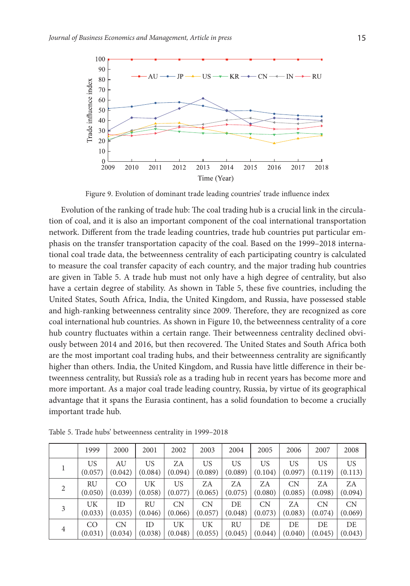

Figure 9. Evolution of dominant trade leading countries' trade influence index

Evolution of the ranking of trade hub: The coal trading hub is a crucial link in the circulation of coal, and it is also an important component of the coal international transportation network. Different from the trade leading countries, trade hub countries put particular emphasis on the transfer transportation capacity of the coal. Based on the 1999–2018 international coal trade data, the betweenness centrality of each participating country is calculated to measure the coal transfer capacity of each country, and the major trading hub countries are given in Table 5. A trade hub must not only have a high degree of centrality, but also have a certain degree of stability. As shown in Table 5, these five countries, including the United States, South Africa, India, the United Kingdom, and Russia, have possessed stable and high-ranking betweenness centrality since 2009. Therefore, they are recognized as core coal international hub countries. As shown in Figure 10, the betweenness centrality of a core hub country fluctuates within a certain range. Their betweenness centrality declined obviously between 2014 and 2016, but then recovered. The United States and South Africa both are the most important coal trading hubs, and their betweenness centrality are significantly higher than others. India, the United Kingdom, and Russia have little difference in their betweenness centrality, but Russia's role as a trading hub in recent years has become more and more important. As a major coal trade leading country, Russia, by virtue of its geographical advantage that it spans the Eurasia continent, has a solid foundation to become a crucially important trade hub.

|   | 1999    | 2000      | 2001    | 2002      | 2003      | 2004    | 2005    | 2006      | 2007      | 2008    |
|---|---------|-----------|---------|-----------|-----------|---------|---------|-----------|-----------|---------|
|   | US      | AU        | US      | ZA        | US.       | US      | US      | <b>US</b> | US        | US.     |
|   | (0.057) | (0.042)   | (0.084) | (0.094)   | (0.089)   | (0.089) | (0.104) | (0.097)   | (0.119)   | (0.113) |
| 2 | RU      | CO        | UK      | US        | ZA        | ZA      | ZA      | <b>CN</b> | ZA        | ZA      |
|   | (0.050) | (0.039)   | (0.058) | (0.077)   | (0.065)   | (0.075) | (0.080) | (0.085)   | (0.098)   | (0.094) |
| 3 | UK      | ID        | RU      | <b>CN</b> | <b>CN</b> | DE.     | CN      | ZA        | <b>CN</b> | CN      |
|   | (0.033) | (0.035)   | (0.046) | (0.066)   | (0.057)   | (0.048) | (0.073) | (0.083)   | (0.074)   | (0.069) |
| 4 | CO      | <b>CN</b> | ID      | UK        | UK        | RU      | DE      | DE.       | DE        | DE.     |
|   | (0.031) | (0.034)   | (0.038) | (0.048)   | (0.055)   | (0.045) | (0.044) | (0.040)   | (0.045)   | (0.043) |

Table 5. Trade hubs' betweenness centrality in 1999–2018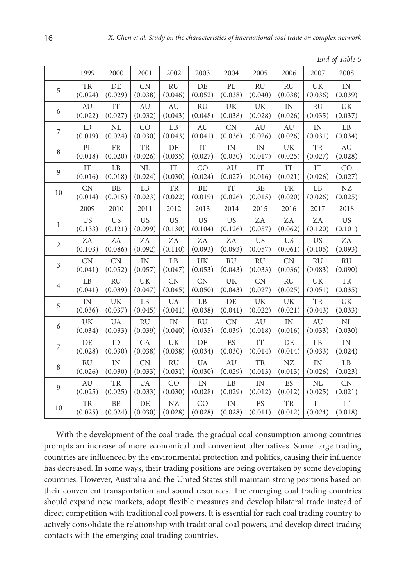|  |  | End of Table 5 |  |
|--|--|----------------|--|
|--|--|----------------|--|

|                | 1999                       | 2000      | 2001                   | 2002           | 2003                   | 2004      | 2005      | 2006       | 2007        | 2008                   |
|----------------|----------------------------|-----------|------------------------|----------------|------------------------|-----------|-----------|------------|-------------|------------------------|
| 5              | <b>TR</b>                  | DE        | CN                     | <b>RU</b>      | DE                     | PL        | <b>RU</b> | <b>RU</b>  | UK          | IN                     |
|                | (0.024)                    | (0.029)   | (0.038)                | (0.046)        | (0.052)                | (0.038)   | (0.040)   | (0.038)    | (0.036)     | (0.039)                |
| 6              | AU                         | <b>IT</b> | AU                     | AU             | <b>RU</b>              | <b>UK</b> | UK        | IN         | <b>RU</b>   | UK                     |
|                | (0.022)                    | (0.027)   | (0.032)                | (0.043)        | (0.048)                | (0.038)   | (0.028)   | (0.026)    | (0.035)     | (0.037)                |
| 7              | ID                         | NL        | CO                     | L <sub>B</sub> | AU                     | <b>CN</b> | AU        | AU         | IN          | LB                     |
|                | (0.019)                    | (0.024)   | (0.030)                | (0.043)        | (0.041)                | (0.036)   | (0.026)   | (0.026)    | (0.031)     | (0.034)                |
| $\,8\,$        | PL                         | <b>FR</b> | TR                     | DE             | IT                     | IN        | IN        | UK         | <b>TR</b>   | AU                     |
|                | (0.018)                    | (0.020)   | (0.026)                | (0.035)        | (0.027)                | (0.030)   | (0.017)   | (0.025)    | (0.027)     | (0.028)                |
| 9              | $\ensuremath{\mathsf{IT}}$ | LB        | NL                     | IT             | CO                     | AU        | IT        | IT         | IT          | CO                     |
|                | (0.016)                    | (0.018)   | (0.024)                | (0.030)        | (0.024)                | (0.027)   | (0.016)   | (0.021)    | (0.026)     | (0.027)                |
| 10             | CN                         | BE        | $\rm LB$               | <b>TR</b>      | $\rm BE$               | IT        | BE        | ${\rm FR}$ | LB          | NZ                     |
|                | (0.014)                    | (0.015)   | (0.023)                | (0.022)        | (0.019)                | (0.026)   | (0.015)   | (0.020)    | (0.026)     | (0.025)                |
|                | 2009                       | 2010      | 2011                   | 2012           | 2013                   | 2014      | 2015      | 2016       | 2017        | 2018                   |
| $\mathbf{1}$   | <b>US</b>                  | <b>US</b> | <b>US</b>              | <b>US</b>      | <b>US</b>              | <b>US</b> | ZΑ        | ZΑ         | ZA          | <b>US</b>              |
|                | (0.133)                    | (0.121)   | (0.099)                | (0.130)        | (0.104)                | (0.126)   | (0.057)   | (0.062)    | (0.120)     | (0.101)                |
| $\sqrt{2}$     | ZA                         | ZA        | ZA                     | ZA             | ZA                     | ZA        | <b>US</b> | <b>US</b>  | <b>US</b>   | ZA                     |
|                | (0.103)                    | (0.086)   | (0.092)                | (0.110)        | (0.093)                | (0.093)   | (0.057)   | (0.061)    | (0.105)     | (0.093)                |
| 3              | <b>CN</b>                  | <b>CN</b> | IN                     | LB             | UK                     | <b>RU</b> | <b>RU</b> | <b>CN</b>  | <b>RU</b>   | <b>RU</b>              |
|                | (0.041)                    | (0.052)   | (0.057)                | (0.047)        | (0.053)                | (0.043)   | (0.033)   | (0.036)    | (0.083)     | (0.090)                |
| 4              | LB                         | <b>RU</b> | UK                     | CN             | CN                     | UK        | CN        | RU         | UK          | TR                     |
|                | (0.041)                    | (0.039)   | (0.047)                | (0.045)        | (0.050)                | (0.043)   | (0.027)   | (0.025)    | (0.051)     | (0.035)                |
| 5              | $\ensuremath{\text{IN}}$   | UK        | $\mathbf{L}\mathbf{B}$ | <b>UA</b>      | $\mathbf{L}\mathbf{B}$ | DE        | UK        | UK         | TR          | UK                     |
|                | (0.036)                    | (0.037)   | (0.045)                | (0.041)        | (0.038)                | (0.041)   | (0.022)   | (0.021)    | (0.043)     | (0.033)                |
| 6              | <b>UK</b>                  | <b>UA</b> | <b>RU</b>              | IN             | <b>RU</b>              | <b>CN</b> | AU        | IN         | AU          | NL                     |
|                | (0.034)                    | (0.033)   | (0.039)                | (0.040)        | (0.035)                | (0.039)   | (0.018)   | (0.016)    | (0.033)     | (0.030)                |
| 7              | DE                         | ID        | CA                     | UK             | DE                     | ES        | <b>IT</b> | DE         | LB          | IN                     |
|                | (0.028)                    | (0.030)   | (0.038)                | (0.038)        | (0.034)                | (0.030)   | (0.014)   | (0.014)    | (0.033)     | (0.024)                |
| 8              | <b>RU</b>                  | IN        | <b>CN</b>              | RU             | <b>UA</b>              | AU        | TR        | NZ         | $\text{IN}$ | $\mathbf{L}\mathbf{B}$ |
|                | (0.026)                    | (0.030)   | (0.033)                | (0.031)        | (0.030)                | (0.029)   | (0.013)   | (0.013)    | (0.026)     | (0.023)                |
| $\mathfrak{g}$ | AU                         | TR        | <b>UA</b>              | CO             | IN                     | LB        | IN        | ES         | <b>NL</b>   | CN                     |
|                | (0.025)                    | (0.025)   | (0.033)                | (0.030)        | (0.028)                | (0.029)   | (0.012)   | (0.012)    | (0.025)     | (0.021)                |
| 10             | TR                         | <b>BE</b> | DE                     | NZ             | CO                     | IN        | ES        | TR         | IT          | IT                     |
|                | (0.025)                    | (0.024)   | (0.030)                | (0.028)        | (0.028)                | (0.028)   | (0.011)   | (0.012)    | (0.024)     | (0.018)                |

With the development of the coal trade, the gradual coal consumption among countries prompts an increase of more economical and convenient alternatives. Some large trading countries are influenced by the environmental protection and politics, causing their influence has decreased. In some ways, their trading positions are being overtaken by some developing countries. However, Australia and the United States still maintain strong positions based on their convenient transportation and sound resources. The emerging coal trading countries should expand new markets, adopt flexible measures and develop bilateral trade instead of direct competition with traditional coal powers. It is essential for each coal trading country to actively consolidate the relationship with traditional coal powers, and develop direct trading contacts with the emerging coal trading countries.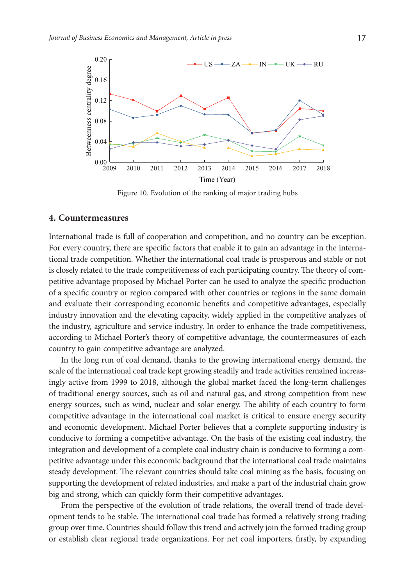

Figure 10. Evolution of the ranking of major trading hubs

#### **4. Countermeasures**

International trade is full of cooperation and competition, and no country can be exception. For every country, there are specific factors that enable it to gain an advantage in the international trade competition. Whether the international coal trade is prosperous and stable or not is closely related to the trade competitiveness of each participating country. The theory of competitive advantage proposed by Michael Porter can be used to analyze the specific production of a specific country or region compared with other countries or regions in the same domain and evaluate their corresponding economic benefits and competitive advantages, especially industry innovation and the elevating capacity, widely applied in the competitive analyzes of the industry, agriculture and service industry. In order to enhance the trade competitiveness, according to Michael Porter's theory of competitive advantage, the countermeasures of each country to gain competitive advantage are analyzed.

In the long run of coal demand, thanks to the growing international energy demand, the scale of the international coal trade kept growing steadily and trade activities remained increasingly active from 1999 to 2018, although the global market faced the long-term challenges of traditional energy sources, such as oil and natural gas, and strong competition from new energy sources, such as wind, nuclear and solar energy. The ability of each country to form competitive advantage in the international coal market is critical to ensure energy security and economic development. Michael Porter believes that a complete supporting industry is conducive to forming a competitive advantage. On the basis of the existing coal industry, the integration and development of a complete coal industry chain is conducive to forming a competitive advantage under this economic background that the international coal trade maintains steady development. The relevant countries should take coal mining as the basis, focusing on supporting the development of related industries, and make a part of the industrial chain grow big and strong, which can quickly form their competitive advantages.

From the perspective of the evolution of trade relations, the overall trend of trade development tends to be stable. The international coal trade has formed a relatively strong trading group over time. Countries should follow this trend and actively join the formed trading group or establish clear regional trade organizations. For net coal importers, firstly, by expanding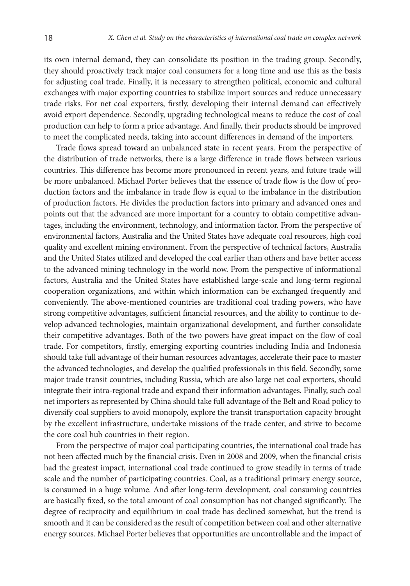its own internal demand, they can consolidate its position in the trading group. Secondly, they should proactively track major coal consumers for a long time and use this as the basis for adjusting coal trade. Finally, it is necessary to strengthen political, economic and cultural exchanges with major exporting countries to stabilize import sources and reduce unnecessary trade risks. For net coal exporters, firstly, developing their internal demand can effectively avoid export dependence. Secondly, upgrading technological means to reduce the cost of coal production can help to form a price advantage. And finally, their products should be improved to meet the complicated needs, taking into account differences in demand of the importers.

Trade flows spread toward an unbalanced state in recent years. From the perspective of the distribution of trade networks, there is a large difference in trade flows between various countries. This difference has become more pronounced in recent years, and future trade will be more unbalanced. Michael Porter believes that the essence of trade flow is the flow of production factors and the imbalance in trade flow is equal to the imbalance in the distribution of production factors. He divides the production factors into primary and advanced ones and points out that the advanced are more important for a country to obtain competitive advantages, including the environment, technology, and information factor. From the perspective of environmental factors, Australia and the United States have adequate coal resources, high coal quality and excellent mining environment. From the perspective of technical factors, Australia and the United States utilized and developed the coal earlier than others and have better access to the advanced mining technology in the world now. From the perspective of informational factors, Australia and the United States have established large-scale and long-term regional cooperation organizations, and within which information can be exchanged frequently and conveniently. The above-mentioned countries are traditional coal trading powers, who have strong competitive advantages, sufficient financial resources, and the ability to continue to develop advanced technologies, maintain organizational development, and further consolidate their competitive advantages. Both of the two powers have great impact on the flow of coal trade. For competitors, firstly, emerging exporting countries including India and Indonesia should take full advantage of their human resources advantages, accelerate their pace to master the advanced technologies, and develop the qualified professionals in this field. Secondly, some major trade transit countries, including Russia, which are also large net coal exporters, should integrate their intra-regional trade and expand their information advantages. Finally, such coal net importers as represented by China should take full advantage of the Belt and Road policy to diversify coal suppliers to avoid monopoly, explore the transit transportation capacity brought by the excellent infrastructure, undertake missions of the trade center, and strive to become the core coal hub countries in their region.

From the perspective of major coal participating countries, the international coal trade has not been affected much by the financial crisis. Even in 2008 and 2009, when the financial crisis had the greatest impact, international coal trade continued to grow steadily in terms of trade scale and the number of participating countries. Coal, as a traditional primary energy source, is consumed in a huge volume. And after long-term development, coal consuming countries are basically fixed, so the total amount of coal consumption has not changed significantly. The degree of reciprocity and equilibrium in coal trade has declined somewhat, but the trend is smooth and it can be considered as the result of competition between coal and other alternative energy sources. Michael Porter believes that opportunities are uncontrollable and the impact of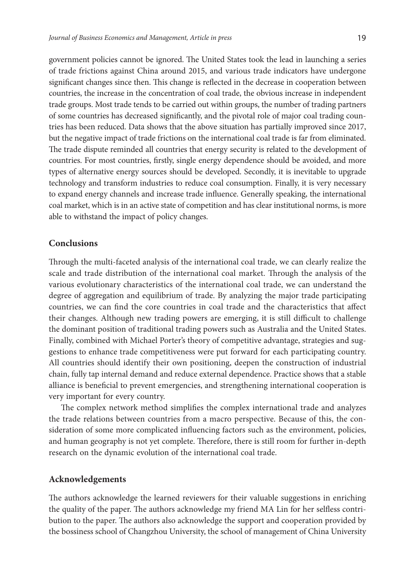government policies cannot be ignored. The United States took the lead in launching a series of trade frictions against China around 2015, and various trade indicators have undergone significant changes since then. This change is reflected in the decrease in cooperation between countries, the increase in the concentration of coal trade, the obvious increase in independent trade groups. Most trade tends to be carried out within groups, the number of trading partners of some countries has decreased significantly, and the pivotal role of major coal trading countries has been reduced. Data shows that the above situation has partially improved since 2017, but the negative impact of trade frictions on the international coal trade is far from eliminated. The trade dispute reminded all countries that energy security is related to the development of countries. For most countries, firstly, single energy dependence should be avoided, and more types of alternative energy sources should be developed. Secondly, it is inevitable to upgrade technology and transform industries to reduce coal consumption. Finally, it is very necessary to expand energy channels and increase trade influence. Generally speaking, the international coal market, which is in an active state of competition and has clear institutional norms, is more able to withstand the impact of policy changes.

## **Conclusions**

Through the multi-faceted analysis of the international coal trade, we can clearly realize the scale and trade distribution of the international coal market. Through the analysis of the various evolutionary characteristics of the international coal trade, we can understand the degree of aggregation and equilibrium of trade. By analyzing the major trade participating countries, we can find the core countries in coal trade and the characteristics that affect their changes. Although new trading powers are emerging, it is still difficult to challenge the dominant position of traditional trading powers such as Australia and the United States. Finally, combined with Michael Porter's theory of competitive advantage, strategies and suggestions to enhance trade competitiveness were put forward for each participating country. All countries should identify their own positioning, deepen the construction of industrial chain, fully tap internal demand and reduce external dependence. Practice shows that a stable alliance is beneficial to prevent emergencies, and strengthening international cooperation is very important for every country.

The complex network method simplifies the complex international trade and analyzes the trade relations between countries from a macro perspective. Because of this, the consideration of some more complicated influencing factors such as the environment, policies, and human geography is not yet complete. Therefore, there is still room for further in-depth research on the dynamic evolution of the international coal trade.

### **Acknowledgements**

The authors acknowledge the learned reviewers for their valuable suggestions in enriching the quality of the paper. The authors acknowledge my friend MA Lin for her selfless contribution to the paper. The authors also acknowledge the support and cooperation provided by the bossiness school of Changzhou University, the school of management of China University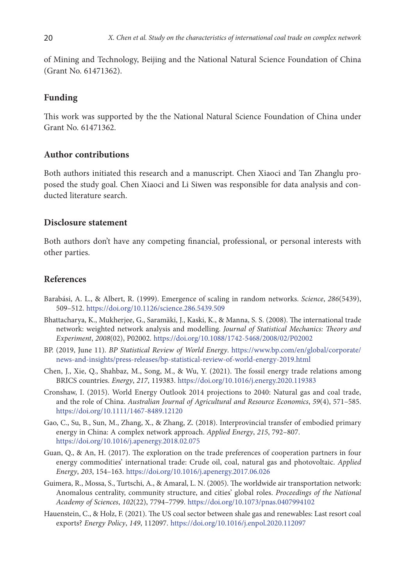of Mining and Technology, Beijing and the National Natural Science Foundation of China (Grant No. 61471362).

### **Funding**

This work was supported by the the National Natural Science Foundation of China under Grant No. 61471362.

### **Author contributions**

Both authors initiated this research and a manuscript. Chen Xiaoci and Tan Zhanglu proposed the study goal. Chen Xiaoci and Li Siwen was responsible for data analysis and conducted literature search.

# **Disclosure statement**

Both authors don't have any competing financial, professional, or personal interests with other parties.

## **References**

- Barabási, A. L., & Albert, R. (1999). Emergence of scaling in random networks. *Science*, *286*(5439), 509–512. <https://doi.org/10.1126/science.286.5439.509>
- Bhattacharya, K., Mukherjee, G., Saramäki, J., Kaski, K., & Manna, S. S. (2008). The international trade network: weighted network analysis and modelling. *Journal of Statistical Mechanics: Theory and Experiment*, *2008*(02), P02002. https://doi.org/10.1088/1742-5468/2008/02/P02002
- BP. (2019, June 11). *BP Statistical Review of World Energy*. https://www.bp.com/en/global/corporate/ news-and-insights/press-releases/bp-statistical-review-of-world-energy-2019.html
- Chen, J., Xie, Q., Shahbaz, M., Song, M., & Wu, Y. (2021). The fossil energy trade relations among BRICS countries. *Energy*, *217*, 119383.<https://doi.org/10.1016/j.energy.2020.119383>
- Cronshaw, I. (2015). World Energy Outlook 2014 projections to 2040: Natural gas and coal trade, and the role of China. *Australian Journal of Agricultural and Resource Economics*, *59*(4), 571–585. <https://doi.org/10.1111/1467-8489.12120>
- Gao, C., Su, B., Sun, M., Zhang, X., & Zhang, Z. (2018). Interprovincial transfer of embodied primary energy in China: A complex network approach. *Applied Energy*, *215*, 792–807. <https://doi.org/10.1016/j.apenergy.2018.02.075>
- Guan, Q., & An, H. (2017). The exploration on the trade preferences of cooperation partners in four energy commodities' international trade: Crude oil, coal, natural gas and photovoltaic. *Applied Energy*, *203*, 154–163. <https://doi.org/10.1016/j.apenergy.2017.06.026>
- Guimera, R., Mossa, S., Turtschi, A., & Amaral, L. N. (2005). The worldwide air transportation network: Anomalous centrality, community structure, and cities' global roles. *Proceedings of the National Academy of Sciences*, *102*(22), 7794–7799. <https://doi.org/10.1073/pnas.0407994102>
- Hauenstein, C., & Holz, F. (2021). The US coal sector between shale gas and renewables: Last resort coal exports? *Energy Policy*, *149*, 112097. <https://doi.org/10.1016/j.enpol.2020.112097>